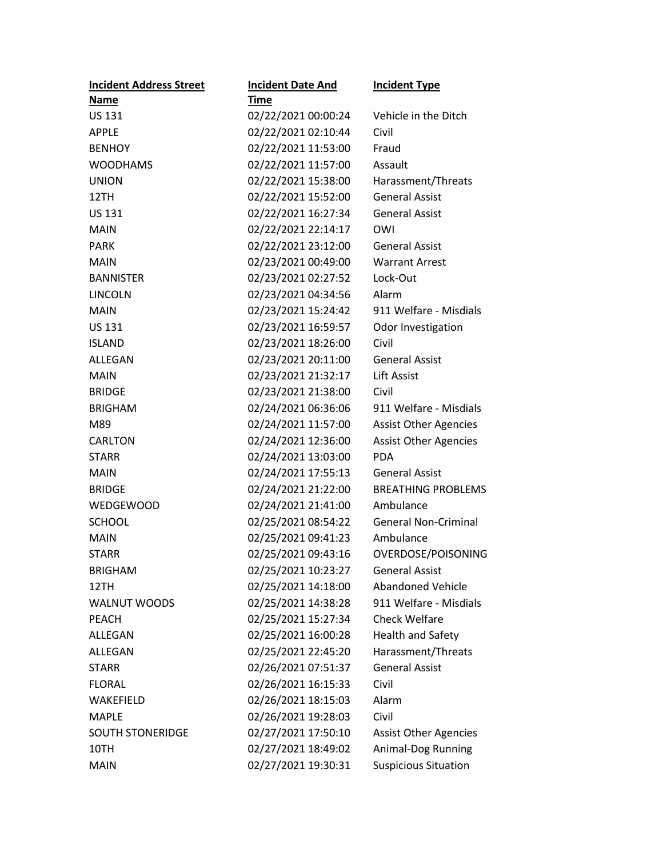| <b>Incident Address Street</b> | <b>Incident Date And</b> | <b>Incident Type</b>         |
|--------------------------------|--------------------------|------------------------------|
| Name                           | <b>Time</b>              |                              |
| <b>US 131</b>                  | 02/22/2021 00:00:24      | Vehicle in the Ditch         |
| <b>APPLE</b>                   | 02/22/2021 02:10:44      | Civil                        |
| <b>BENHOY</b>                  | 02/22/2021 11:53:00      | Fraud                        |
| <b>WOODHAMS</b>                | 02/22/2021 11:57:00      | Assault                      |
| <b>UNION</b>                   | 02/22/2021 15:38:00      | Harassment/Threats           |
| 12TH                           | 02/22/2021 15:52:00      | <b>General Assist</b>        |
| <b>US 131</b>                  | 02/22/2021 16:27:34      | <b>General Assist</b>        |
| <b>MAIN</b>                    | 02/22/2021 22:14:17      | OWI                          |
| <b>PARK</b>                    | 02/22/2021 23:12:00      | <b>General Assist</b>        |
| <b>MAIN</b>                    | 02/23/2021 00:49:00      | <b>Warrant Arrest</b>        |
| <b>BANNISTER</b>               | 02/23/2021 02:27:52      | Lock-Out                     |
| <b>LINCOLN</b>                 | 02/23/2021 04:34:56      | Alarm                        |
| <b>MAIN</b>                    | 02/23/2021 15:24:42      | 911 Welfare - Misdials       |
| <b>US 131</b>                  | 02/23/2021 16:59:57      | Odor Investigation           |
| <b>ISLAND</b>                  | 02/23/2021 18:26:00      | Civil                        |
| ALLEGAN                        | 02/23/2021 20:11:00      | <b>General Assist</b>        |
| <b>MAIN</b>                    | 02/23/2021 21:32:17      | <b>Lift Assist</b>           |
| <b>BRIDGE</b>                  | 02/23/2021 21:38:00      | Civil                        |
| <b>BRIGHAM</b>                 | 02/24/2021 06:36:06      | 911 Welfare - Misdials       |
| M89                            | 02/24/2021 11:57:00      | <b>Assist Other Agencies</b> |
| <b>CARLTON</b>                 | 02/24/2021 12:36:00      | <b>Assist Other Agencies</b> |
| <b>STARR</b>                   | 02/24/2021 13:03:00      | <b>PDA</b>                   |
| <b>MAIN</b>                    | 02/24/2021 17:55:13      | <b>General Assist</b>        |
| <b>BRIDGE</b>                  | 02/24/2021 21:22:00      | <b>BREATHING PROBLEMS</b>    |
| <b>WEDGEWOOD</b>               | 02/24/2021 21:41:00      | Ambulance                    |
| <b>SCHOOL</b>                  | 02/25/2021 08:54:22      | <b>General Non-Criminal</b>  |
| <b>MAIN</b>                    | 02/25/2021 09:41:23      | Ambulance                    |
| <b>STARR</b>                   | 02/25/2021 09:43:16      | OVERDOSE/POISONING           |
| <b>BRIGHAM</b>                 | 02/25/2021 10:23:27      | <b>General Assist</b>        |
| 12TH                           | 02/25/2021 14:18:00      | <b>Abandoned Vehicle</b>     |
| <b>WALNUT WOODS</b>            | 02/25/2021 14:38:28      | 911 Welfare - Misdials       |
| <b>PEACH</b>                   | 02/25/2021 15:27:34      | <b>Check Welfare</b>         |
| ALLEGAN                        | 02/25/2021 16:00:28      | <b>Health and Safety</b>     |
| ALLEGAN                        | 02/25/2021 22:45:20      | Harassment/Threats           |
| <b>STARR</b>                   | 02/26/2021 07:51:37      | <b>General Assist</b>        |
| <b>FLORAL</b>                  | 02/26/2021 16:15:33      | Civil                        |
| WAKEFIELD                      | 02/26/2021 18:15:03      | Alarm                        |
| <b>MAPLE</b>                   | 02/26/2021 19:28:03      | Civil                        |
| <b>SOUTH STONERIDGE</b>        | 02/27/2021 17:50:10      | <b>Assist Other Agencies</b> |
| 10TH                           | 02/27/2021 18:49:02      | Animal-Dog Running           |
| <b>MAIN</b>                    | 02/27/2021 19:30:31      | <b>Suspicious Situation</b>  |